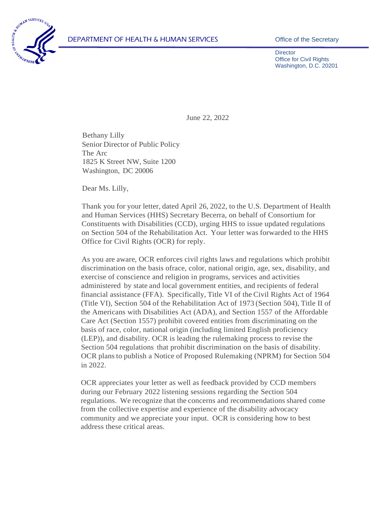

**Director** Office for Civil Rights Washington, D.C. 20201

June 22, 2022

Bethany Lilly Senior Director of Public Policy The Arc 1825 K Street NW, Suite 1200 Washington, DC 20006

Dear Ms. Lilly,

Thank you for your letter, dated April 26, 2022, to the U.S. Department of Health and Human Services (HHS) Secretary Becerra, on behalf of Consortium for Constituents with Disabilities (CCD), urging HHS to issue updated regulations on Section 504 of the Rehabilitation Act. Your letter was forwarded to the HHS Office for Civil Rights (OCR) for reply.

As you are aware, OCR enforces civil rights laws and regulations which prohibit discrimination on the basis ofrace, color, national origin, age, sex, disability, and exercise of conscience and religion in programs, services and activities administered by state and local government entities, and recipients of federal financial assistance (FFA). Specifically, Title VI of the Civil Rights Act of 1964 (Title VI), Section 504 of the Rehabilitation Act of 1973 (Section 504), Title II of the Americans with Disabilities Act (ADA), and Section 1557 of the Affordable Care Act (Section 1557) prohibit covered entities from discriminating on the basis of race, color, national origin (including limited English proficiency (LEP)), and disability. OCR is leading the rulemaking process to revise the Section 504 regulations that prohibit discrimination on the basis of disability. OCR plansto publish a Notice of Proposed Rulemaking (NPRM) for Section 504 in 2022.

OCR appreciates your letter as well as feedback provided by CCD members during our February 2022 listening sessions regarding the Section 504 regulations. We recognize that the concerns and recommendations shared come from the collective expertise and experience of the disability advocacy community and we appreciate your input. OCR is considering how to best address these critical areas.